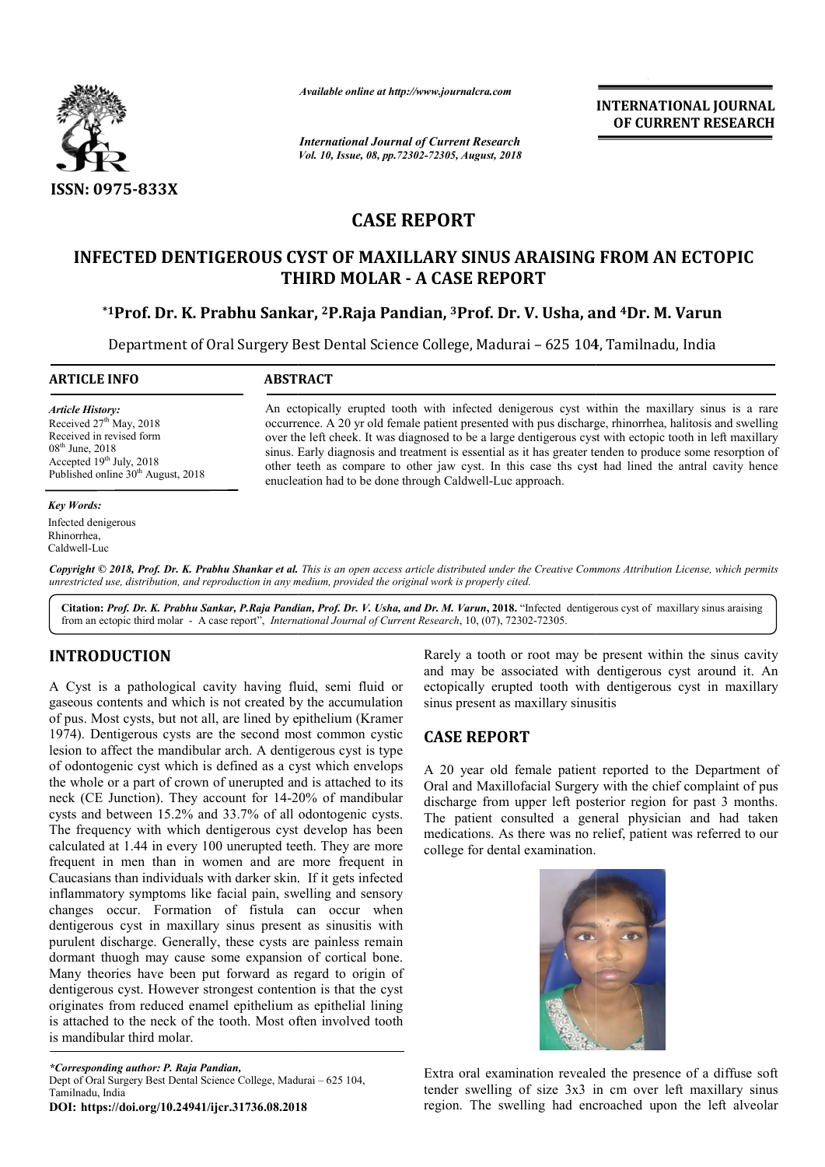

*Available online at http://www.journalcra.com*

# **CASE REPORT**

# **INFECTED DENTIGEROUS CYST OF MAXILLARY SINUS ARAISING FROM AN ECTOPIC THIRD MOLAR - A CASE REPORT**

# **\*1Prof. Dr. K. Prabhu Sankar, Prof. 2P.Raja Pandian, 3Prof. Dr. V. Usha, and Prof. 4Dr. M. Varun**

|                                                                                                                                                                                                                                                                                                                                                                                                                                                                                                                                                                                                                                                                                                                                                                                                                                                                                                                                                                                                                                                                                                                                                                                                                                                                                                                                                                                                                                                                                                                     |                                                                                                                                                                                                                                                                                                                                                                                                                                                                                                                                                                                                       | <b>INTERNATIONAL JOURNAL</b><br>OF CURRENT RESEARCH                                                                                                                                                                                                                                                                                                                                                                                                                                                                                                                                                                         |
|---------------------------------------------------------------------------------------------------------------------------------------------------------------------------------------------------------------------------------------------------------------------------------------------------------------------------------------------------------------------------------------------------------------------------------------------------------------------------------------------------------------------------------------------------------------------------------------------------------------------------------------------------------------------------------------------------------------------------------------------------------------------------------------------------------------------------------------------------------------------------------------------------------------------------------------------------------------------------------------------------------------------------------------------------------------------------------------------------------------------------------------------------------------------------------------------------------------------------------------------------------------------------------------------------------------------------------------------------------------------------------------------------------------------------------------------------------------------------------------------------------------------|-------------------------------------------------------------------------------------------------------------------------------------------------------------------------------------------------------------------------------------------------------------------------------------------------------------------------------------------------------------------------------------------------------------------------------------------------------------------------------------------------------------------------------------------------------------------------------------------------------|-----------------------------------------------------------------------------------------------------------------------------------------------------------------------------------------------------------------------------------------------------------------------------------------------------------------------------------------------------------------------------------------------------------------------------------------------------------------------------------------------------------------------------------------------------------------------------------------------------------------------------|
|                                                                                                                                                                                                                                                                                                                                                                                                                                                                                                                                                                                                                                                                                                                                                                                                                                                                                                                                                                                                                                                                                                                                                                                                                                                                                                                                                                                                                                                                                                                     | <b>International Journal of Current Research</b><br>Vol. 10, Issue, 08, pp.72302-72305, August, 2018                                                                                                                                                                                                                                                                                                                                                                                                                                                                                                  |                                                                                                                                                                                                                                                                                                                                                                                                                                                                                                                                                                                                                             |
| ISSN: 0975-833X                                                                                                                                                                                                                                                                                                                                                                                                                                                                                                                                                                                                                                                                                                                                                                                                                                                                                                                                                                                                                                                                                                                                                                                                                                                                                                                                                                                                                                                                                                     |                                                                                                                                                                                                                                                                                                                                                                                                                                                                                                                                                                                                       |                                                                                                                                                                                                                                                                                                                                                                                                                                                                                                                                                                                                                             |
|                                                                                                                                                                                                                                                                                                                                                                                                                                                                                                                                                                                                                                                                                                                                                                                                                                                                                                                                                                                                                                                                                                                                                                                                                                                                                                                                                                                                                                                                                                                     |                                                                                                                                                                                                                                                                                                                                                                                                                                                                                                                                                                                                       | <b>CASE REPORT</b>                                                                                                                                                                                                                                                                                                                                                                                                                                                                                                                                                                                                          |
|                                                                                                                                                                                                                                                                                                                                                                                                                                                                                                                                                                                                                                                                                                                                                                                                                                                                                                                                                                                                                                                                                                                                                                                                                                                                                                                                                                                                                                                                                                                     |                                                                                                                                                                                                                                                                                                                                                                                                                                                                                                                                                                                                       | <b>INFECTED DENTIGEROUS CYST OF MAXILLARY SINUS ARAISING FROM AN ECTOPIC</b><br><b>THIRD MOLAR - A CASE REPORT</b>                                                                                                                                                                                                                                                                                                                                                                                                                                                                                                          |
|                                                                                                                                                                                                                                                                                                                                                                                                                                                                                                                                                                                                                                                                                                                                                                                                                                                                                                                                                                                                                                                                                                                                                                                                                                                                                                                                                                                                                                                                                                                     |                                                                                                                                                                                                                                                                                                                                                                                                                                                                                                                                                                                                       | *1Prof. Dr. K. Prabhu Sankar, <sup>2</sup> P.Raja Pandian, <sup>3</sup> Prof. Dr. V. Usha, and <sup>4</sup> Dr. M. Varun<br>Department of Oral Surgery Best Dental Science College, Madurai - 625 104, Tamilnadu, India                                                                                                                                                                                                                                                                                                                                                                                                     |
| <b>ARTICLE INFO</b>                                                                                                                                                                                                                                                                                                                                                                                                                                                                                                                                                                                                                                                                                                                                                                                                                                                                                                                                                                                                                                                                                                                                                                                                                                                                                                                                                                                                                                                                                                 | <b>ABSTRACT</b>                                                                                                                                                                                                                                                                                                                                                                                                                                                                                                                                                                                       |                                                                                                                                                                                                                                                                                                                                                                                                                                                                                                                                                                                                                             |
| <b>Article History:</b><br>Received 27 <sup>th</sup> May, 2018<br>Received in revised form<br>08 <sup>th</sup> June, 2018<br>Accepted 19th July, 2018<br>Published online 30 <sup>th</sup> August, 2018                                                                                                                                                                                                                                                                                                                                                                                                                                                                                                                                                                                                                                                                                                                                                                                                                                                                                                                                                                                                                                                                                                                                                                                                                                                                                                             | An ectopically erupted tooth with infected denigerous cyst within the maxillary sinus is a rare<br>occurrence. A 20 yr old female patient presented with pus discharge, rhinorrhea, halitosis and swelling<br>over the left cheek. It was diagnosed to be a large dentigerous cyst with ectopic tooth in left maxillary<br>sinus. Early diagnosis and treatment is essential as it has greater tenden to produce some resorption of<br>other teeth as compare to other jaw cyst. In this case ths cyst had lined the antral cavity hence<br>enucleation had to be done through Caldwell-Luc approach. |                                                                                                                                                                                                                                                                                                                                                                                                                                                                                                                                                                                                                             |
| Infected denigerous<br>Rhinorrhea,<br>Caldwell-Luc<br>unrestricted use, distribution, and reproduction in any medium, provided the original work is properly cited.<br>from an ectopic third molar - A case report", International Journal of Current Research, 10, (07), 72302-72305.                                                                                                                                                                                                                                                                                                                                                                                                                                                                                                                                                                                                                                                                                                                                                                                                                                                                                                                                                                                                                                                                                                                                                                                                                              |                                                                                                                                                                                                                                                                                                                                                                                                                                                                                                                                                                                                       | Copyright © 2018, Prof. Dr. K. Prabhu Shankar et al. This is an open access article distributed under the Creative Commons Attribution License, which permits<br>Citation: Prof. Dr. K. Prabhu Sankar, P.Raja Pandian, Prof. Dr. V. Usha, and Dr. M. Varun, 2018. "Infected dentigerous cyst of maxillary sinus araising                                                                                                                                                                                                                                                                                                    |
| <b>INTRODUCTION</b><br>A Cyst is a pathological cavity having fluid, semi fluid or<br>gaseous contents and which is not created by the accumulation<br>of pus. Most cysts, but not all, are lined by epithelium (Kramer<br>1974). Dentigerous cysts are the second most common cystic<br>lesion to affect the mandibular arch. A dentigerous cyst is type<br>of odontogenic cyst which is defined as a cyst which envelops<br>the whole or a part of crown of unerupted and is attached to its<br>neck (CE Junction). They account for 14-20% of mandibular<br>cysts and between 15.2% and 33.7% of all odontogenic cysts.<br>The frequency with which dentigerous cyst develop has been<br>calculated at 1.44 in every 100 unerupted teeth. They are more<br>frequent in men than in women and are more frequent in<br>Caucasians than individuals with darker skin. If it gets infected<br>inflammatory symptoms like facial pain, swelling and sensory<br>changes occur. Formation of fistula can occur when<br>dentigerous cyst in maxillary sinus present as sinusitis with<br>purulent discharge. Generally, these cysts are painless remain<br>dormant thuogh may cause some expansion of cortical bone.<br>Many theories have been put forward as regard to origin of<br>dentigerous cyst. However strongest contention is that the cyst<br>originates from reduced enamel epithelium as epithelial lining<br>is attached to the neck of the tooth. Most often involved tooth<br>is mandibular third molar. |                                                                                                                                                                                                                                                                                                                                                                                                                                                                                                                                                                                                       | Rarely a tooth or root may be present within the sinus cavity<br>and may be associated with dentigerous cyst around it. An<br>ectopically erupted tooth with dentigerous cyst in maxillary<br>sinus present as maxillary sinusitis<br><b>CASE REPORT</b><br>A 20 year old female patient reported to the Department of<br>Oral and Maxillofacial Surgery with the chief complaint of pus<br>discharge from upper left posterior region for past 3 months.<br>The patient consulted a general physician and had taken<br>medications. As there was no relief, patient was referred to our<br>college for dental examination. |
| *Corresponding author: P. Raja Pandian,<br>Dept of Oral Surgery Best Dental Science College, Madurai - 625 104,<br>Tamilnadu, India<br>DOI: https://doi.org/10.24941/ijcr.31736.08.2018                                                                                                                                                                                                                                                                                                                                                                                                                                                                                                                                                                                                                                                                                                                                                                                                                                                                                                                                                                                                                                                                                                                                                                                                                                                                                                                             |                                                                                                                                                                                                                                                                                                                                                                                                                                                                                                                                                                                                       | Extra oral examination revealed the presence of a diffuse soft<br>tender swelling of size 3x3 in cm over left maxillary sinus<br>region. The swelling had encroached upon the left alveolar                                                                                                                                                                                                                                                                                                                                                                                                                                 |

# **INTRODUCTION**

### **CASE REPORT**

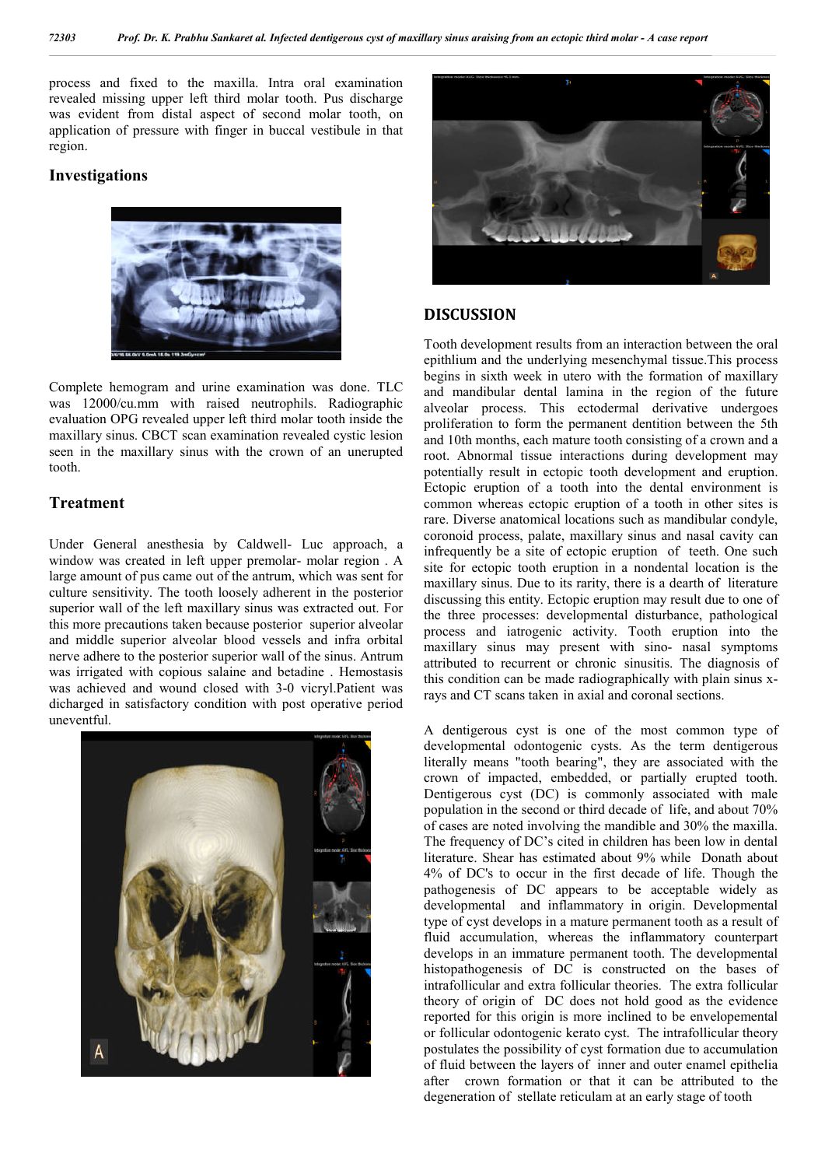process and fixed to the maxilla. Intra oral examination revealed missing upper left third molar tooth. Pus discharge was evident from distal aspect of second molar tooth, on application of pressure with finger in buccal vestibule in that region.

### **Investigations**



Complete hemogram and urine examination was done. TLC was 12000/cu.mm with raised neutrophils. Radiographic evaluation OPG revealed upper left third molar tooth inside the maxillary sinus. CBCT scan examination revealed cystic lesion seen in the maxillary sinus with the crown of an unerupted tooth.

#### **Treatment**

Under General anesthesia by Caldwell- Luc approach, a window was created in left upper premolar- molar region . A large amount of pus came out of the antrum, which was sent for culture sensitivity. The tooth loosely adherent in the posterior superior wall of the left maxillary sinus was extracted out. For this more precautions taken because posterior superior alveolar and middle superior alveolar blood vessels and infra orbital nerve adhere to the posterior superior wall of the sinus. Antrum was irrigated with copious salaine and betadine . Hemostasis was achieved and wound closed with 3-0 vicryl.Patient was dicharged in satisfactory condition with post operative period uneventful.





#### **DISCUSSION**

Tooth development results from an interaction between the oral epithlium and the underlying mesenchymal tissue.This process begins in sixth week in utero with the formation of maxillary and mandibular dental lamina in the region of the future alveolar process. This ectodermal derivative undergoes proliferation to form the permanent dentition between the 5th and 10th months, each mature tooth consisting of a crown and a root. Abnormal tissue interactions during development may potentially result in ectopic tooth development and eruption. Ectopic eruption of a tooth into the dental environment is common whereas ectopic eruption of a tooth in other sites is rare. Diverse anatomical locations such as mandibular condyle, coronoid process, palate, maxillary sinus and nasal cavity can infrequently be a site of ectopic eruption of teeth. One such site for ectopic tooth eruption in a nondental location is the maxillary sinus. Due to its rarity, there is a dearth of literature discussing this entity. Ectopic eruption may result due to one of the three processes: developmental disturbance, pathological process and iatrogenic activity. Tooth eruption into the maxillary sinus may present with sino- nasal symptoms attributed to recurrent or chronic sinusitis. The diagnosis of this condition can be made radiographically with plain sinus xrays and CT scans taken in axial and coronal sections.

A dentigerous cyst is one of the most common type of developmental odontogenic cysts. As the term dentigerous literally means "tooth bearing", they are associated with the crown of impacted, embedded, or partially erupted tooth. Dentigerous cyst (DC) is commonly associated with male population in the second or third decade of life, and about 70% of cases are noted involving the mandible and 30% the maxilla. The frequency of DC's cited in children has been low in dental literature. Shear has estimated about 9% while Donath about 4% of DC's to occur in the first decade of life. Though the pathogenesis of DC appears to be acceptable widely as developmental and inflammatory in origin. Developmental type of cyst develops in a mature permanent tooth as a result of fluid accumulation, whereas the inflammatory counterpart develops in an immature permanent tooth. The developmental histopathogenesis of DC is constructed on the bases of intrafollicular and extra follicular theories. The extra follicular theory of origin of DC does not hold good as the evidence reported for this origin is more inclined to be envelopemental or follicular odontogenic kerato cyst. The intrafollicular theory postulates the possibility of cyst formation due to accumulation of fluid between the layers of inner and outer enamel epithelia after crown formation or that it can be attributed to the degeneration of stellate reticulam at an early stage of tooth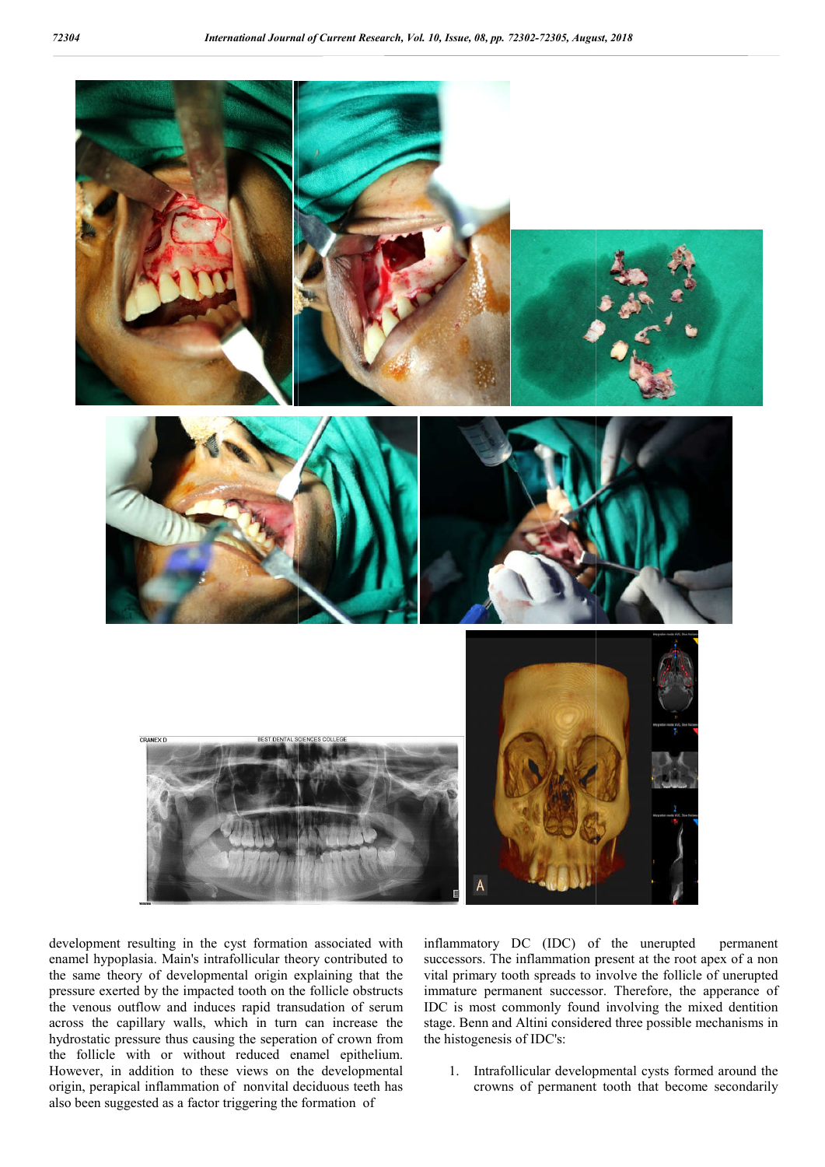

development resulting in the cyst formation associated with enamel hypoplasia. Main's intrafollicular theory contributed to the same theory of developmental origin explaining that the pressure exerted by the impacted tooth on the follicle obstructs the venous outflow and induces rapid transudation of serum across the capillary walls, which in turn can increase the hydrostatic pressure thus causing the seperation of crown from the follicle with or without reduced enamel epithelium. However, in addition to these views on the developmental origin, perapical inflammation of nonvital deciduous teeth has also been suggested as a factor triggering the formation of

inflammatory DC (IDC) of the unerupted permanent successors. The inflammation present at the root apex of a non vital primary tooth spreads to involve the follicle of unerupted immature permanent successor. Therefore, the apperance of IDC is most commonly found involving the mixed dentition stage. Benn and Altini considered three possible mechanisms in the histogenesis of IDC's:

1. Intrafollicular developmental cysts formed around the crowns of permanent tooth that become secondarily